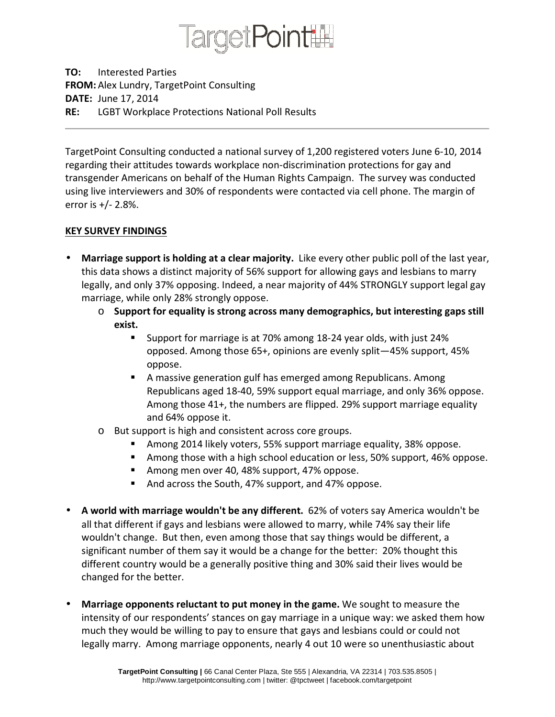

TO: Interested Parties FROM: Alex Lundry, TargetPoint Consulting DATE: June 17, 2014 RE: LGBT Workplace Protections National Poll Results

TargetPoint Consulting conducted a national survey of 1,200 registered voters June 6-10, 2014 regarding their attitudes towards workplace non-discrimination protections for gay and transgender Americans on behalf of the Human Rights Campaign. The survey was conducted using live interviewers and 30% of respondents were contacted via cell phone. The margin of error is  $+/- 2.8\%$ .

## KEY SURVEY FINDINGS

- Marriage support is holding at a clear majority. Like every other public poll of the last year, this data shows a distinct majority of 56% support for allowing gays and lesbians to marry legally, and only 37% opposing. Indeed, a near majority of 44% STRONGLY support legal gay marriage, while only 28% strongly oppose.
	- $\circ$  Support for equality is strong across many demographics, but interesting gaps still exist.
		- Support for marriage is at 70% among 18-24 year olds, with just 24% opposed. Among those 65+, opinions are evenly split—45% support, 45% oppose.
		- A massive generation gulf has emerged among Republicans. Among Republicans aged 18-40, 59% support equal marriage, and only 36% oppose. Among those 41+, the numbers are flipped. 29% support marriage equality and 64% oppose it.
	- o But support is high and consistent across core groups.
		- Among 2014 likely voters, 55% support marriage equality, 38% oppose.
		- **Among those with a high school education or less, 50% support, 46% oppose.**
		- **Among men over 40, 48% support, 47% oppose.**
		- And across the South, 47% support, and 47% oppose.
- A world with marriage wouldn't be any different. 62% of voters say America wouldn't be all that different if gays and lesbians were allowed to marry, while 74% say their life wouldn't change. But then, even among those that say things would be different, a significant number of them say it would be a change for the better: 20% thought this different country would be a generally positive thing and 30% said their lives would be changed for the better.
- Marriage opponents reluctant to put money in the game. We sought to measure the intensity of our respondents' stances on gay marriage in a unique way: we asked them how much they would be willing to pay to ensure that gays and lesbians could or could not legally marry. Among marriage opponents, nearly 4 out 10 were so unenthusiastic about